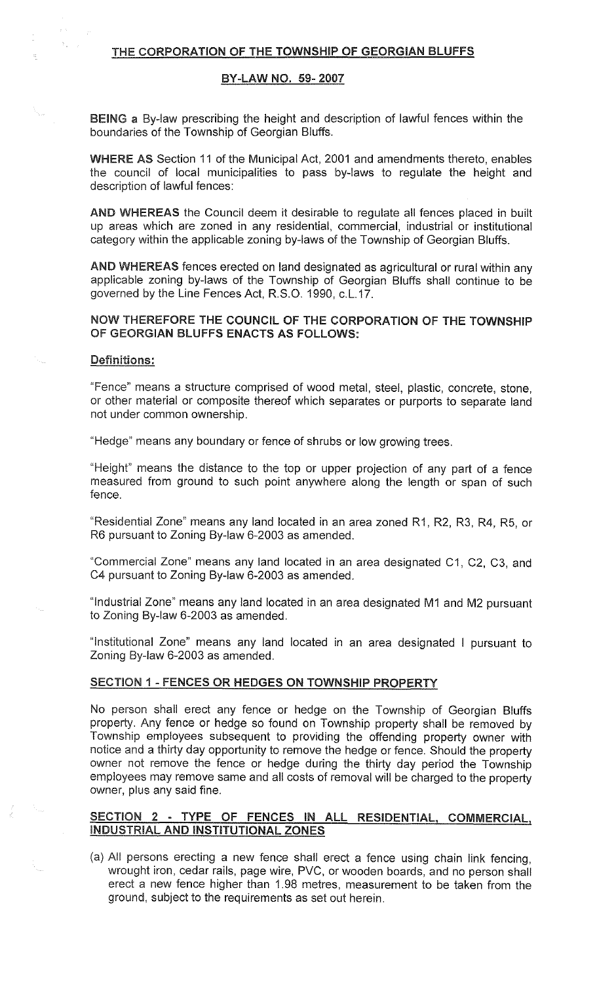#### THE CORPORATION OF THE TOWNSHIP OF GEORGIAN BLUFFS

#### BY-LAW NO. 59-2007

BEING a By-law prescribing the height and description of lawful fences within the boundaries of the Township of Georgian Bluffs.

WHERE AS Section 11 of the Municipal Act, 2001 and amendments thereto, enables the council of local municipalities to pass by-laws to regulate the height and description of lawful fences:

AND WHEREAS the Council deem it desirable to regulate all fences placed in built up areas which are zoned in any residential, commercial, industrial or institutional category within the applicable zoning by-laws of the Township of Georgian Bluffs.

AND WHEREAS fences erected on land designated as agricultural or rural within any applicable zoning by-laws of the Township of Georgian Bluffs shall continue to be governed by the Line Fences Act, R.S.0.1990, c.L.17.

# NOW THEREFORE THE COUNCIL OF THE CORPORATION OF THE TOWNSHIP OF GEORGIAN BLUFFS ENACTS AS FOLLOWS:

#### Definitions:

 $\Delta \phi$ 

"Fence" means a structure comprised of wood metal, steel, plastic, concrete, stone, or other material or composite thereof which separates or purports to separate land not under common ownership.

"Hedge" means any boundary or fence of shrubs or low growing trees.

"Height" means the distance to the top or upper projection of any part of a fence measured from ground to such point anywhere along the length or span of such fence.

"Residential Zone" means any land located in an area zoned R1, R2, R3, R4, R5, or R6 pursuant to Zoning By-law 6-2003 as amended.

"Commercial Zone" means any land located in an area designated C1, C2, C3, and C4 pursuant to Zoning By-law 6-2003 as amended.

"Industrial Zone" means any land located in an area designated f\/11 and f\/12 pursuant to Zoning By-law 6-2003 as amended.

"Institutional Zone" means any land located in an area designated I pursuant to Zoning By-law 6-2003 as amended.

#### SECTION 1 - FENCES OR HEDGES ON TOWNSHIP PROPERTY

No person shall erect any fence or hedge on the Township of Georgian Bluffs property. Any fence or hedge so found on Township property shall be removed by Township employees subsequent to providing the offending property owner with notice and a thirty day opportunity to remove the hedge or fence. Should the property owner not remove the fence or hedge during the thirty day period the Township employees may remove same and all costs of removal will be charged to the property owner, plus any said fine.

### SECTION 2 - TYPE OF FENCES IN ALL RESIDENTIAL, COMMERCIAL, INDUSTRIAL AND INSTITUTIONAL ZONES

(a) All persons erecting a new fence shall erect a fence using chain link fencing, wrought iron, cedar rails, page wire, PVC, or wooden boards, and no person shall erect a new fence higher than 1.98 metres, measurement to be taken from the ground, subject to the requirements as set out herein.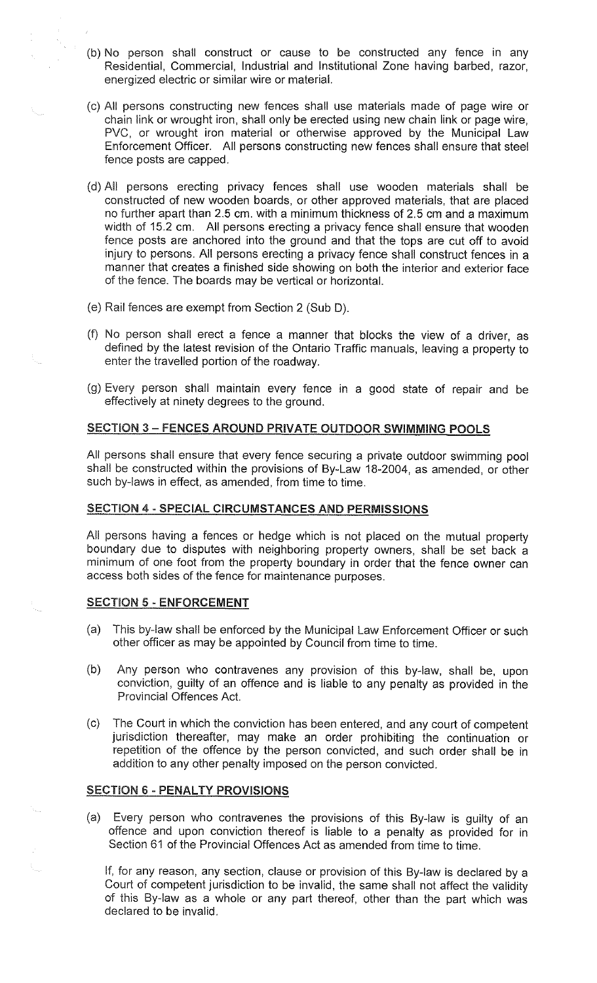- (b) No person shall construct or cause to be constructed any fence in any Residential, Commercial, Industrial and Institutional Zone having barbed, razor, energized electric or similar wire or material.
- (c) All persons constructing new fences shall use materials made of page wire or chain link or wrought iron, shall only be erected using new chain link or page wire, PVC, or wrought iron material or otherwise approved by the Municipal Law Enforcement Officer. All persons constructing new fences shall ensure that steel fence posts are capped.
- (d) All persons erecting privacy fences shall use wooden materials shall be constructed of new wooden boards, or other approved materials, that are placed no further apart than 2.5 em. with a minimum thickness of 2.5 em and a maximum width of 15.2 em. All persons erecting a privacy fence shall ensure that wooden fence posts are anchored into the ground and that the tops are cut off to avoid injury to persons. All persons erecting a privacy fence shall construct fences in <sup>a</sup> manner that creates a finished side showing on both the interior and exterior face of the fence. The boards may be vertical or horizontal.
- (e) Rail fences are exempt from Section 2 (Sub D).
- (f) No person shall erect a fence a manner that blocks the view of a driver, as defined by the latest revision of the Ontario Traffic manuals, leaving a property to enter the travelled portion of the roadway.
- (g) Every person shall maintain every fence in a good state of repair and be effectively at ninety degrees to the ground.

# SECTION 3 – FENCES AROUND PRIVATE OUTDOOR SWIMMING POOLS

All persons shall ensure that every fence securing a private outdoor swimming pool shall be constructed within the provisions of By-Law 18-2004, as amended, or other such by-laws in effect, as amended, from time to time.

## SECTION 4- SPECIAL CIRCUMSTANCES AND PERMISSIONS

All persons having a fences or hedge which is not placed on the mutual property boundary due to disputes with neighboring property owners, shall be set back a minimum of one foot from the property boundary in order that the fence owner can access both sides of the fence for maintenance purposes.

#### SECTION 5 - ENFORCEMENT

- (a) This by-law shall be enforced by the Municipal Law Enforcement Officer or such other officer as may be appointed by Council from time to time.
- (b) Any person who contravenes any provision of this by-law, shall be, upon conviction, guilty of an offence and is liable to any penalty as provided in the Provincial Offences Act.
- (c) The Court in which the conviction has been entered, and any court of competent jurisdiction thereafter, may make an order prohibiting the continuation or repetition of the offence by the person convicted, and such order shall be in addition to any other penalty imposed on the person convicted.

#### SECTION 6 - PENALTY PROVISIONS

A.,

(a) Every person who contravenes the provisions of this By-law is guilty of an offence and upon conviction thereof is liable to a penalty as provided for in Section 61 of the Provincial Offences Act as amended from time to time.

If, for any reason, any section, clause or provision of this By-law is declared by a Court of competent jurisdiction to be invalid, the same shall not affect the validity of this By-law as a whole or any part thereof, other than the part which was declared to be invalid.